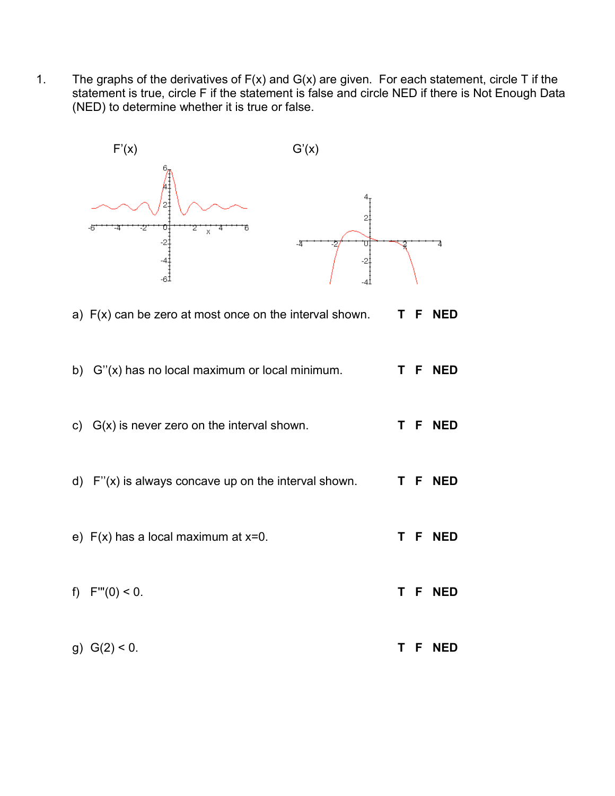1. The graphs of the derivatives of  $F(x)$  and  $G(x)$  are given. For each statement, circle T if the statement is true, circle F if the statement is false and circle NED if there is Not Enough Data (NED) to determine whether it is true or false.



|  | a) F(x) can be zero at most once on the interval shown. |  |  | T F NED |
|--|---------------------------------------------------------|--|--|---------|
|--|---------------------------------------------------------|--|--|---------|

|  | c) $G(x)$ is never zero on the interval shown. | T F NED |
|--|------------------------------------------------|---------|
|--|------------------------------------------------|---------|

- d) F''(x) is always concave up on the interval shown. **T F NED**
- e) F(x) has a local maximum at x=0. **T F NED**
- f) F'''(0) < 0. **T F NED**
- g) G(2) < 0. **T F NED**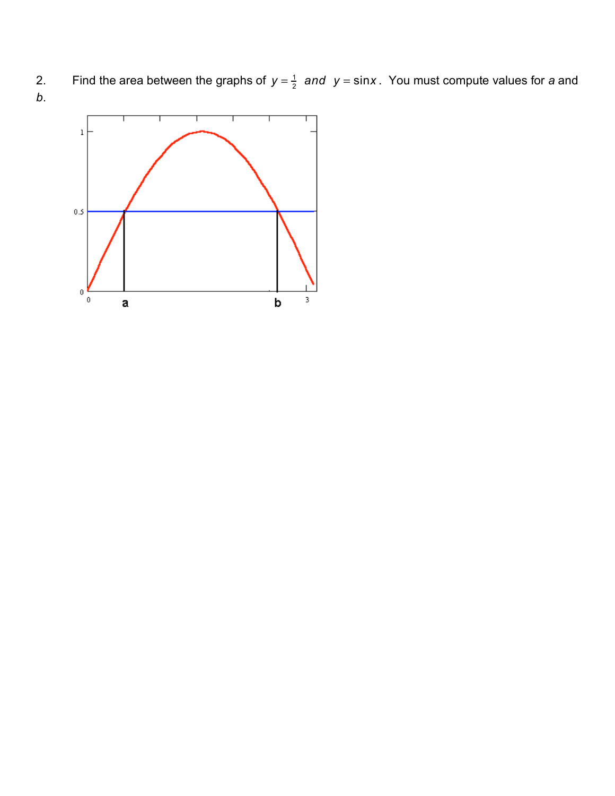2. Find the area between the graphs of  $y = \frac{1}{2}$  and  $y = \sin x$ . You must compute values for a and *b*.

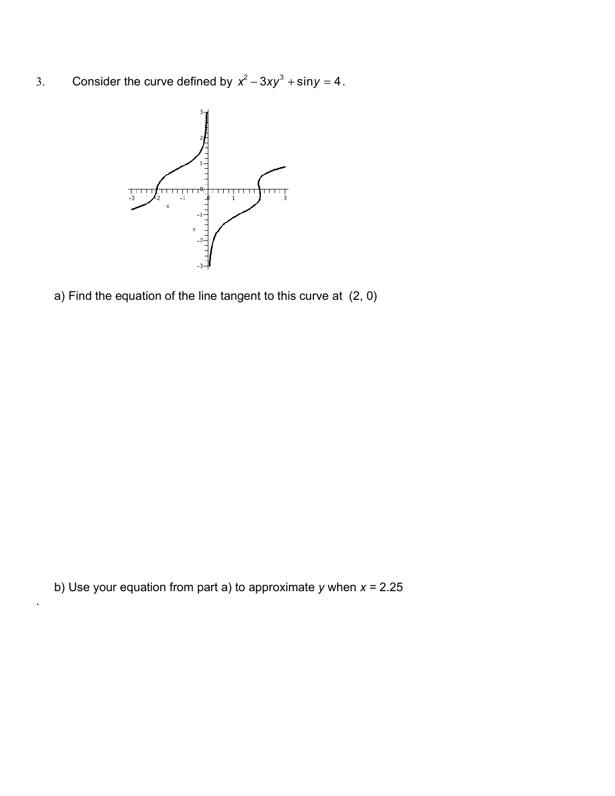3. Consider the curve defined by  $x^2 - 3xy^3 + \sin y = 4$ .



a) Find the equation of the line tangent to this curve at (2, 0)

b) Use your equation from part a) to approximate *y* when *x* = 2.25

.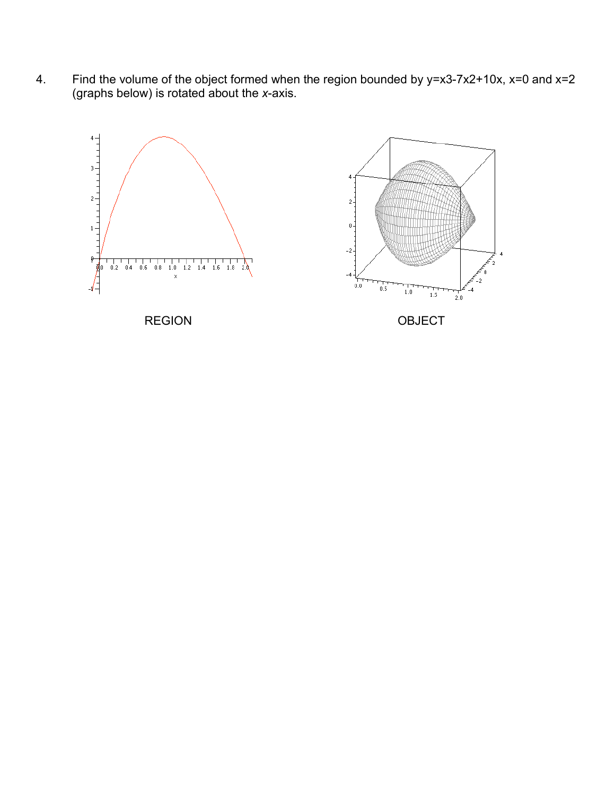4. Find the volume of the object formed when the region bounded by y=x3-7x2+10x, x=0 and x=2 (graphs below) is rotated about the *x*-axis.

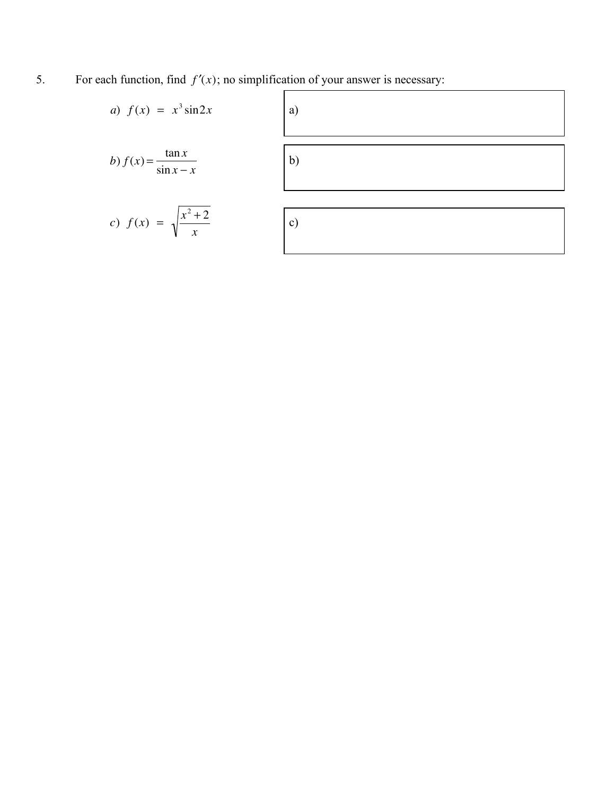5. For each function, find  $f'(x)$ ; no simplification of your answer is necessary:

| <i>a</i> ) $f(x) = x^3 \sin 2x$       | a)            |
|---------------------------------------|---------------|
| b) $f(x) = \frac{\tan x}{\sin x - x}$ | b)            |
| c) $f(x) = \sqrt{\frac{x^2 + 2}{x}}$  | $\mathbf{c})$ |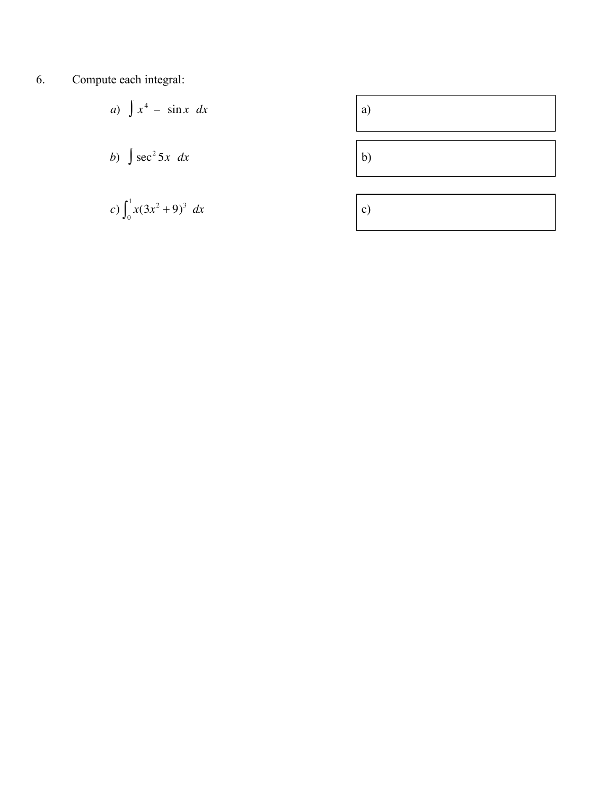6. Compute each integral:

a) 
$$
\int x^4 - \sin x \, dx
$$
  
\nb)  $\int \sec^2 5x \, dx$   
\nc)  $\int_0^1 x(3x^2 + 9)^3 \, dx$   
\nc)

<u> 1989 - Johann Barn, mars ann an t-</u>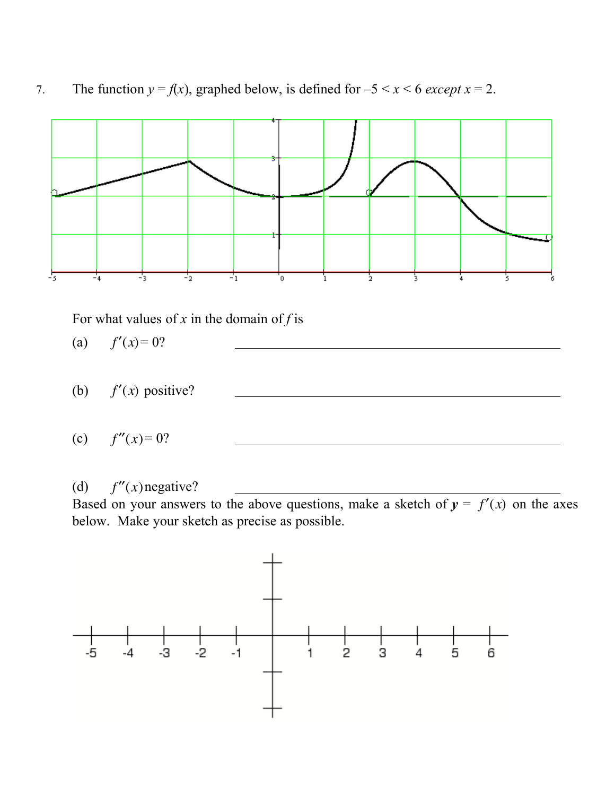



## (d)  $f''(x)$ negative?

Based on your answers to the above questions, make a sketch of  $y = f'(x)$  on the axes below. Make your sketch as precise as possible.

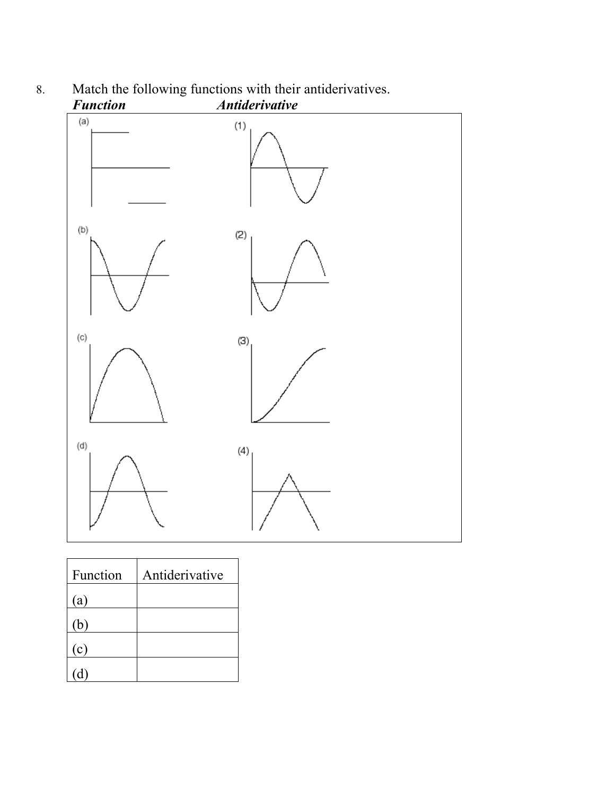

## 8. Match the following functions with their antiderivatives.

| Function | Antiderivative |
|----------|----------------|
| (a)      |                |
| (b)      |                |
| (c)      |                |
|          |                |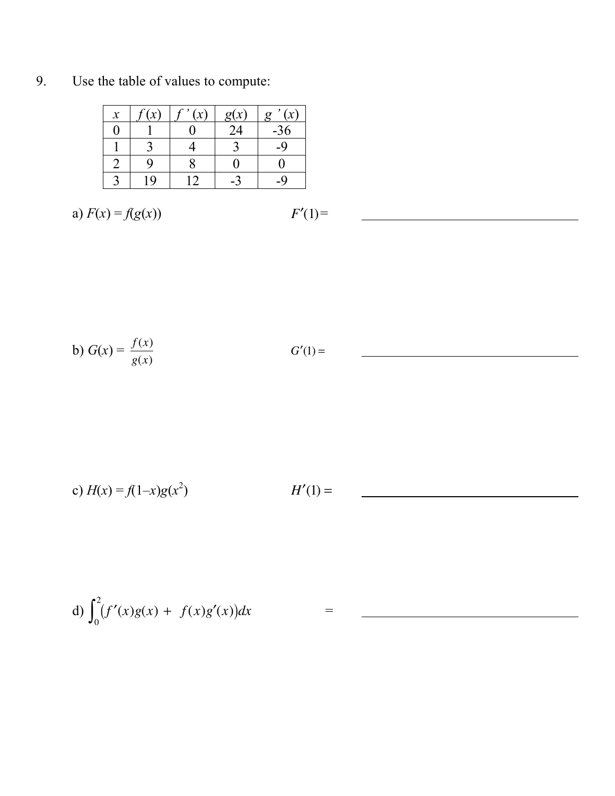| $\mathcal{X}$ | $c(\gamma)$ | , | g(x) | $\sim$<br>$\sigma$ |
|---------------|-------------|---|------|--------------------|
|               |             |   | 24   | $-36$              |
|               |             |   |      |                    |
|               |             |   |      |                    |
|               | Q           |   |      |                    |

9. Use the table of values to compute:

a) 
$$
F(x) = f(g(x))
$$
  $F'(1) =$ 

$$
F'(1) =
$$

b) 
$$
G(x) = \frac{f(x)}{g(x)}
$$
  $G'(1) =$ 

c) 
$$
H(x) = f(1-x)g(x^2)
$$
  $H'(1) =$ 

d) 
$$
\int_0^2 (f'(x)g(x) + f(x)g'(x))dx =
$$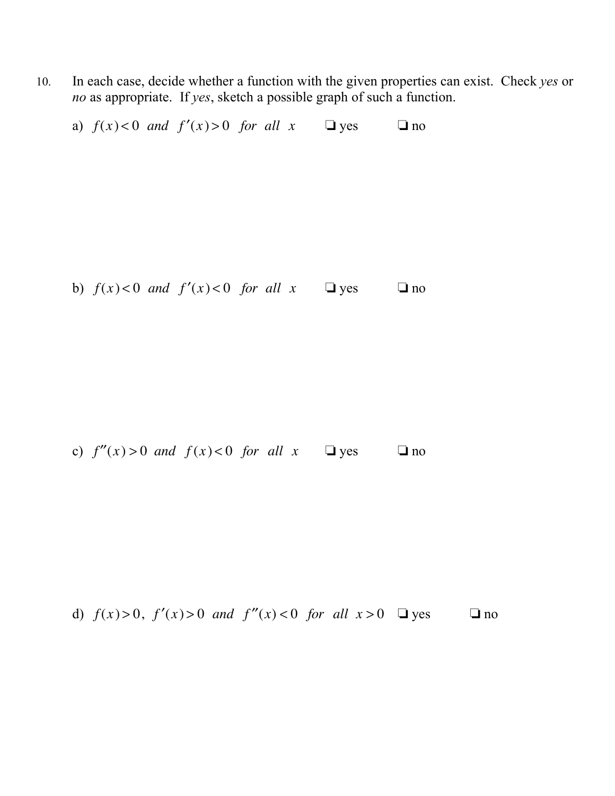10. In each case, decide whether a function with the given properties can exist. Check *yes* or *no* as appropriate. If *yes*, sketch a possible graph of such a function.

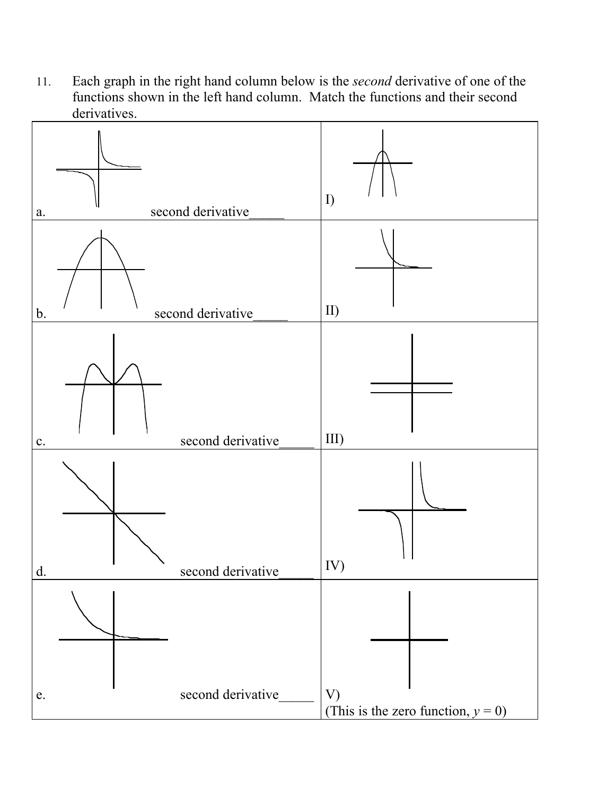11. Each graph in the right hand column below is the *second* derivative of one of the functions shown in the left hand column. Match the functions and their second derivatives.

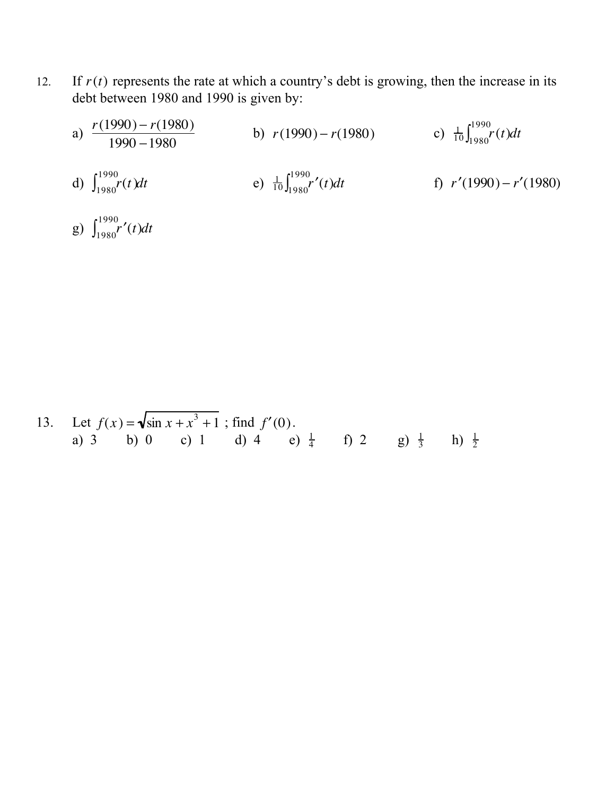- 12. If  $r(t)$  represents the rate at which a country's debt is growing, then the increase in its debt between 1980 and 1990 is given by:
	- a)  $\frac{r(1990) r(1980)}{1990 1980}$  b)  $r(1990) r(1980)$  c)  $\frac{1}{10}$  $\frac{1}{10} \int_{1980}^{1990} r(t) dt$ d)  $\int_{1980}^{1990} r(t) dt$  e)  $\frac{1}{10}$  $\frac{1}{10} \int_{1980}^{1990} r'(t)$ f)  $r'(1990) - r'(1980)$
	- g)  $\int_{1980}^{1990} r'(t) dt$

13. Let 
$$
f(x) = \sqrt{\sin x + x^3 + 1}
$$
; find  $f'(0)$ .  
\na) 3 (b) 0 (c) 1 (d) 4 (e)  $\frac{1}{4}$  (f) 2 (g)  $\frac{1}{3}$  (h)  $\frac{1}{2}$